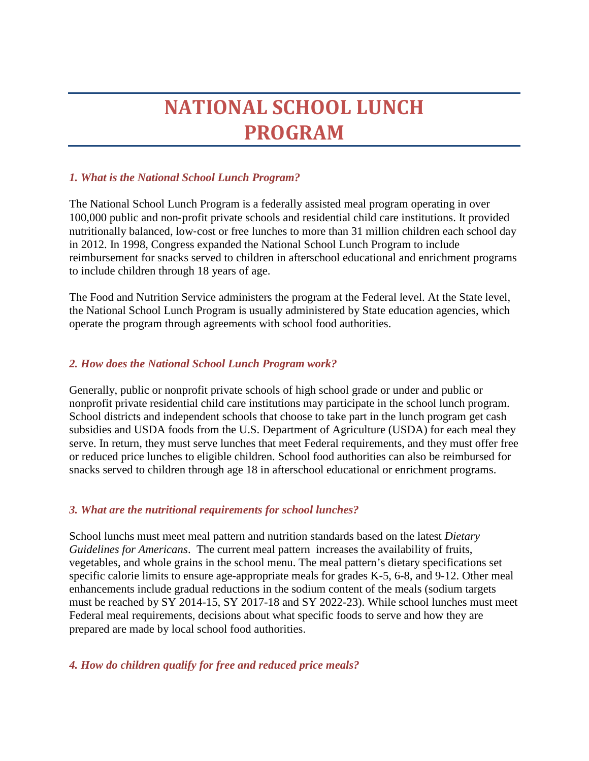# **NATIONAL SCHOOL LUNCH PROGRAM**

# *1. What is the National School Lunch Program?*

The National School Lunch Program is a federally assisted meal program operating in over 100,000 public and non‐profit private schools and residential child care institutions. It provided nutritionally balanced, low‐cost or free lunches to more than 31 million children each school day in 2012. In 1998, Congress expanded the National School Lunch Program to include reimbursement for snacks served to children in afterschool educational and enrichment programs to include children through 18 years of age.

The Food and Nutrition Service administers the program at the Federal level. At the State level, the National School Lunch Program is usually administered by State education agencies, which operate the program through agreements with school food authorities.

### *2. How does the National School Lunch Program work?*

Generally, public or nonprofit private schools of high school grade or under and public or nonprofit private residential child care institutions may participate in the school lunch program. School districts and independent schools that choose to take part in the lunch program get cash subsidies and USDA foods from the U.S. Department of Agriculture (USDA) for each meal they serve. In return, they must serve lunches that meet Federal requirements, and they must offer free or reduced price lunches to eligible children. School food authorities can also be reimbursed for snacks served to children through age 18 in afterschool educational or enrichment programs.

### *3. What are the nutritional requirements for school lunches?*

School lunchs must meet meal pattern and nutrition standards based on the latest *Dietary Guidelines for Americans*. The current meal pattern increases the availability of fruits, vegetables, and whole grains in the school menu. The meal pattern's dietary specifications set specific calorie limits to ensure age-appropriate meals for grades K-5, 6-8, and 9-12. Other meal enhancements include gradual reductions in the sodium content of the meals (sodium targets must be reached by SY 2014-15, SY 2017-18 and SY 2022-23). While school lunches must meet Federal meal requirements, decisions about what specific foods to serve and how they are prepared are made by local school food authorities.

### *4. How do children qualify for free and reduced price meals?*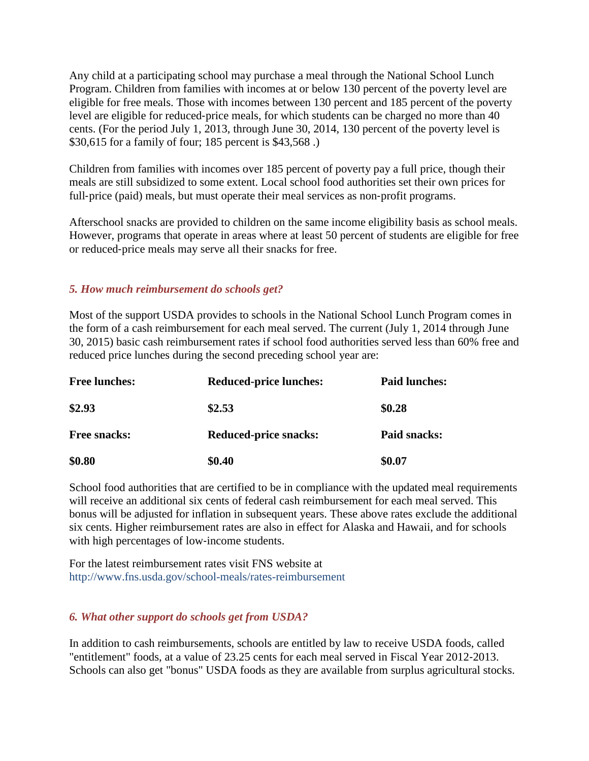Any child at a participating school may purchase a meal through the National School Lunch Program. Children from families with incomes at or below 130 percent of the poverty level are eligible for free meals. Those with incomes between 130 percent and 185 percent of the poverty level are eligible for reduced-price meals, for which students can be charged no more than 40 cents. (For the period July 1, 2013, through June 30, 2014, 130 percent of the poverty level is \$30,615 for a family of four; 185 percent is \$43,568 .)

Children from families with incomes over 185 percent of poverty pay a full price, though their meals are still subsidized to some extent. Local school food authorities set their own prices for full-price (paid) meals, but must operate their meal services as non-profit programs.

Afterschool snacks are provided to children on the same income eligibility basis as school meals. However, programs that operate in areas where at least 50 percent of students are eligible for free or reduced‐price meals may serve all their snacks for free.

### *5. How much reimbursement do schools get?*

Most of the support USDA provides to schools in the National School Lunch Program comes in the form of a cash reimbursement for each meal served. The current (July 1, 2014 through June 30, 2015) basic cash reimbursement rates if school food authorities served less than 60% free and reduced price lunches during the second preceding school year are:

| <b>Free lunches:</b> | <b>Reduced-price lunches:</b> | <b>Paid lunches:</b> |
|----------------------|-------------------------------|----------------------|
| \$2.93               | \$2.53                        | \$0.28               |
| <b>Free snacks:</b>  | <b>Reduced-price snacks:</b>  | Paid snacks:         |
| \$0.80               | \$0.40                        | \$0.07               |

School food authorities that are certified to be in compliance with the updated meal requirements will receive an additional six cents of federal cash reimbursement for each meal served. This bonus will be adjusted for inflation in subsequent years. These above rates exclude the additional six cents. Higher reimbursement rates are also in effect for Alaska and Hawaii, and for schools with high percentages of low-income students.

For the latest reimbursement rates visit FNS website at http://www.fns.usda.gov/school-meals/rates-reimbursement

### *6. What other support do schools get from USDA?*

In addition to cash reimbursements, schools are entitled by law to receive USDA foods, called "entitlement" foods, at a value of 23.25 cents for each meal served in Fiscal Year 2012‐2013. Schools can also get "bonus" USDA foods as they are available from surplus agricultural stocks.